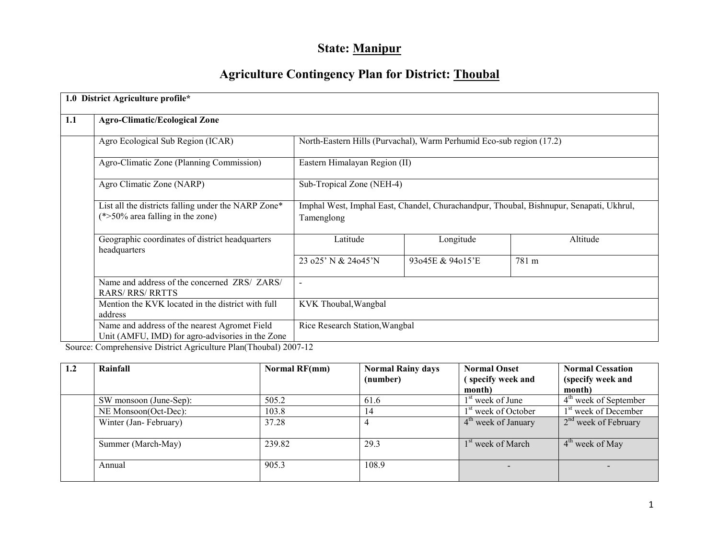# State: Manipur

# Agriculture Contingency Plan for District: Thoubal

|     | 1.0 District Agriculture profile*                                                                 |                                                                                                       |                                            |          |  |  |  |  |  |
|-----|---------------------------------------------------------------------------------------------------|-------------------------------------------------------------------------------------------------------|--------------------------------------------|----------|--|--|--|--|--|
| 1.1 | <b>Agro-Climatic/Ecological Zone</b>                                                              |                                                                                                       |                                            |          |  |  |  |  |  |
|     | Agro Ecological Sub Region (ICAR)                                                                 | North-Eastern Hills (Purvachal), Warm Perhumid Eco-sub region (17.2)                                  |                                            |          |  |  |  |  |  |
|     | Agro-Climatic Zone (Planning Commission)                                                          | Eastern Himalayan Region (II)                                                                         |                                            |          |  |  |  |  |  |
|     | Agro Climatic Zone (NARP)                                                                         | Sub-Tropical Zone (NEH-4)                                                                             |                                            |          |  |  |  |  |  |
|     | List all the districts falling under the NARP Zone*<br>$(*>50\%$ area falling in the zone)        | Imphal West, Imphal East, Chandel, Churachandpur, Thoubal, Bishnupur, Senapati, Ukhrul,<br>Tamenglong |                                            |          |  |  |  |  |  |
|     | Geographic coordinates of district headquarters<br>headquarters                                   | Latitude                                                                                              | Longitude                                  | Altitude |  |  |  |  |  |
|     |                                                                                                   | 23 $025'$ N & 24045'N                                                                                 | 93 <sub>045</sub> E & 94 <sub>015</sub> 'E | 781 m    |  |  |  |  |  |
|     | Name and address of the concerned ZRS/ ZARS/<br><b>RARS/RRS/RRTTS</b>                             | $\overline{\phantom{a}}$                                                                              |                                            |          |  |  |  |  |  |
|     | Mention the KVK located in the district with full<br>address                                      | KVK Thoubal, Wangbal                                                                                  |                                            |          |  |  |  |  |  |
|     | Name and address of the nearest Agromet Field<br>Unit (AMFU, IMD) for agro-advisories in the Zone | Rice Research Station, Wangbal                                                                        |                                            |          |  |  |  |  |  |

Source: Comprehensive District Agriculture Plan(Thoubal) 2007-12

| 1.2 | Rainfall               | Normal RF(mm) | <b>Normal Rainy days</b> | <b>Normal Onset</b>             | <b>Normal Cessation</b>          |
|-----|------------------------|---------------|--------------------------|---------------------------------|----------------------------------|
|     |                        |               | (number)                 | (specify week and               | (specify week and                |
|     |                        |               |                          | month)                          | month)                           |
|     | SW monsoon (June-Sep): | 505.2         | 61.6                     | $1st$ week of June              | $4th$ week of September          |
|     | NE Monsoon(Oct-Dec):   | 103.8         | 14                       | 1 <sup>st</sup> week of October | 1 <sup>st</sup> week of December |
|     | Winter (Jan-February)  | 37.28         |                          | $4th$ week of January           | $2nd$ week of February           |
|     | Summer (March-May)     | 239.82        | 29.3                     | 1 <sup>st</sup> week of March   | $4th$ week of May                |
|     | Annual                 | 905.3         | 108.9                    | $\overline{\phantom{a}}$        |                                  |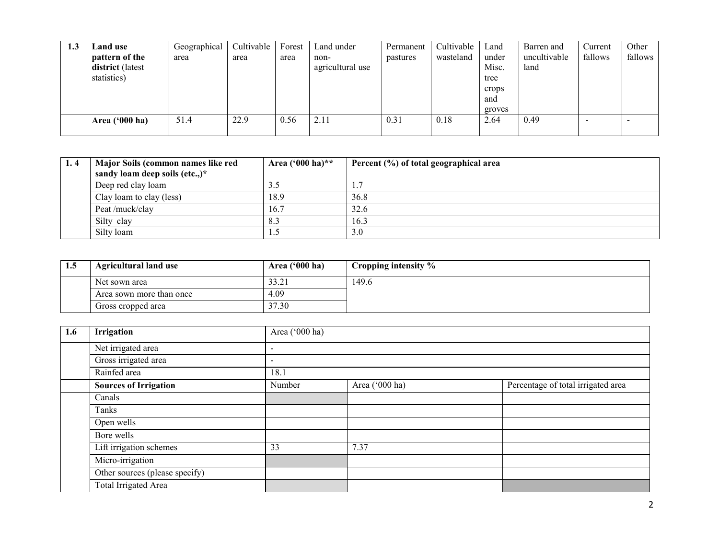| 1.3 | Land use                | Geographical | Cultivable | Forest | Land under       | Permanent | Cultivable | Land   | Barren and   | Current | Other   |
|-----|-------------------------|--------------|------------|--------|------------------|-----------|------------|--------|--------------|---------|---------|
|     | pattern of the          | area         | area       | area   | non-             | pastures  | wasteland  | under  | uncultivable | fallows | fallows |
|     | district (latest        |              |            |        | agricultural use |           |            | Misc.  | land         |         |         |
|     | statistics)             |              |            |        |                  |           |            | tree   |              |         |         |
|     |                         |              |            |        |                  |           |            | crops  |              |         |         |
|     |                         |              |            |        |                  |           |            | and    |              |         |         |
|     |                         |              |            |        |                  |           |            | groves |              |         |         |
|     | Area $(900 \text{ ha})$ | 51.4         | 22.9       | 0.56   | 2.11             | 0.31      | 0.18       | 2.64   | 0.49         |         |         |
|     |                         |              |            |        |                  |           |            |        |              |         |         |

| 1.4 | Major Soils (common names like red<br>sandy loam deep soils (etc.,)* | Area $(^{000}$ ha)** | Percent (%) of total geographical area |
|-----|----------------------------------------------------------------------|----------------------|----------------------------------------|
|     | Deep red clay loam                                                   |                      |                                        |
|     | Clay loam to clay (less)                                             | 18.9                 | 36.8                                   |
|     | Peat /muck/clay                                                      | 16.7                 | 32.6                                   |
|     | Silty clay                                                           | $8.\overline{3}$     | 16.3                                   |
|     | Silty loam                                                           |                      | 3.0                                    |

| 1.5 | <b>Agricultural land use</b> | Area $(900)$ ha) | Cropping intensity $\%$ |
|-----|------------------------------|------------------|-------------------------|
|     | Net sown area                | 33.41            | 149.6                   |
|     | Area sown more than once     | 4.09             |                         |
|     | Gross cropped area           | 37.30            |                         |

| 1.6 | Irrigation                     | Area ('000 ha)           |                                                      |  |  |  |  |  |  |
|-----|--------------------------------|--------------------------|------------------------------------------------------|--|--|--|--|--|--|
|     | Net irrigated area             | $\overline{\phantom{a}}$ |                                                      |  |  |  |  |  |  |
|     | Gross irrigated area           | $\overline{\phantom{a}}$ |                                                      |  |  |  |  |  |  |
|     | Rainfed area                   | 18.1                     |                                                      |  |  |  |  |  |  |
|     | <b>Sources of Irrigation</b>   | Number                   | Percentage of total irrigated area<br>Area ('000 ha) |  |  |  |  |  |  |
|     | Canals                         |                          |                                                      |  |  |  |  |  |  |
|     | Tanks                          |                          |                                                      |  |  |  |  |  |  |
|     | Open wells                     |                          |                                                      |  |  |  |  |  |  |
|     | Bore wells                     |                          |                                                      |  |  |  |  |  |  |
|     | Lift irrigation schemes        | 33                       | 7.37                                                 |  |  |  |  |  |  |
|     | Micro-irrigation               |                          |                                                      |  |  |  |  |  |  |
|     | Other sources (please specify) |                          |                                                      |  |  |  |  |  |  |
|     | Total Irrigated Area           |                          |                                                      |  |  |  |  |  |  |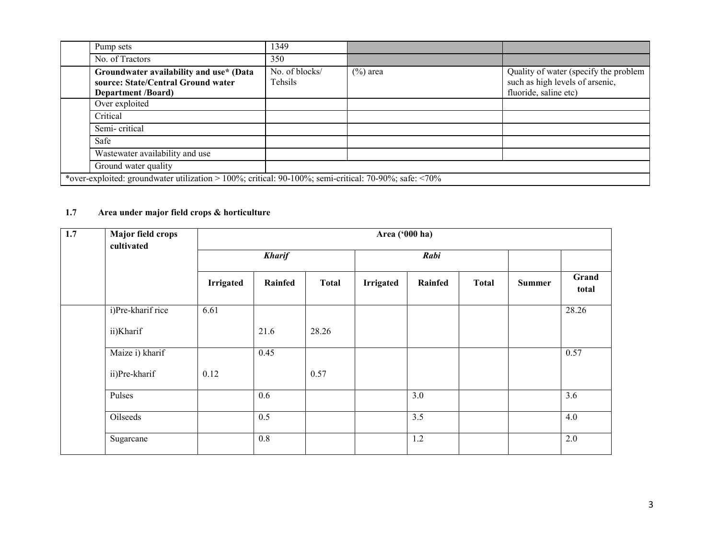| Pump sets                                                                                                   | 1349                      |             |                                                                                                   |
|-------------------------------------------------------------------------------------------------------------|---------------------------|-------------|---------------------------------------------------------------------------------------------------|
| No. of Tractors                                                                                             | 350                       |             |                                                                                                   |
| Groundwater availability and use* (Data<br>source: State/Central Ground water<br><b>Department /Board)</b>  | No. of blocks/<br>Tehsils | $(\%)$ area | Quality of water (specify the problem<br>such as high levels of arsenic,<br>fluoride, saline etc) |
| Over exploited                                                                                              |                           |             |                                                                                                   |
| Critical                                                                                                    |                           |             |                                                                                                   |
| Semi-critical                                                                                               |                           |             |                                                                                                   |
| Safe                                                                                                        |                           |             |                                                                                                   |
| Wastewater availability and use                                                                             |                           |             |                                                                                                   |
| Ground water quality                                                                                        |                           |             |                                                                                                   |
| *over-exploited: groundwater utilization > 100%; critical: 90-100%; semi-critical: 70-90%; safe: $\leq$ 70% |                           |             |                                                                                                   |

#### 1.7 Area under major field crops & horticulture

| 1.7 | Major field crops<br>cultivated |                  |               |              | Area ('000 ha)   |         |              |               |                |
|-----|---------------------------------|------------------|---------------|--------------|------------------|---------|--------------|---------------|----------------|
|     |                                 |                  | <b>Kharif</b> |              | Rabi             |         |              |               |                |
|     |                                 | <b>Irrigated</b> | Rainfed       | <b>Total</b> | <b>Irrigated</b> | Rainfed | <b>Total</b> | <b>Summer</b> | Grand<br>total |
|     | i)Pre-kharif rice               | 6.61             |               |              |                  |         |              |               | 28.26          |
|     | ii)Kharif                       |                  | 21.6          | 28.26        |                  |         |              |               |                |
|     | Maize i) kharif                 |                  | 0.45          |              |                  |         |              |               | 0.57           |
|     | ii)Pre-kharif                   | 0.12             |               | 0.57         |                  |         |              |               |                |
|     | Pulses                          |                  | 0.6           |              |                  | 3.0     |              |               | 3.6            |
|     | Oilseeds                        |                  | 0.5           |              |                  | 3.5     |              |               | 4.0            |
|     | Sugarcane                       |                  | 0.8           |              |                  | 1.2     |              |               | 2.0            |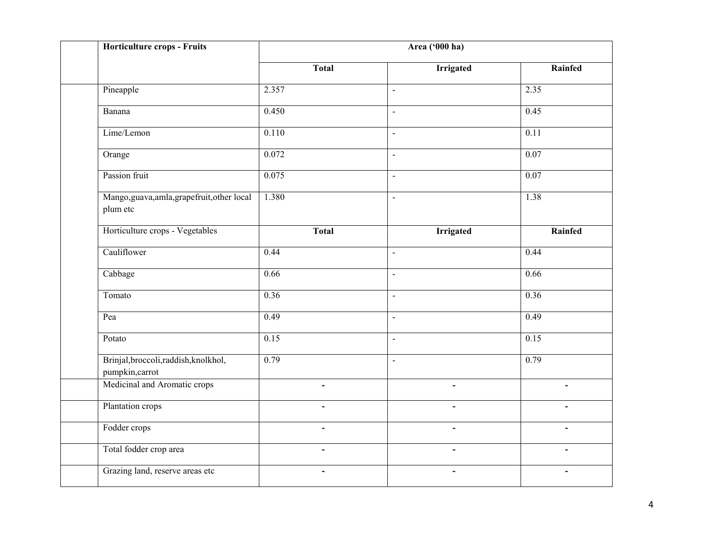| Horticulture crops - Fruits                              | Area ('000 ha)           |                              |                |  |  |  |  |
|----------------------------------------------------------|--------------------------|------------------------------|----------------|--|--|--|--|
|                                                          | <b>Total</b>             | <b>Irrigated</b>             | Rainfed        |  |  |  |  |
| Pineapple                                                | 2.357                    | $\mathbf{r}$                 | 2.35           |  |  |  |  |
| Banana                                                   | 0.450                    | $\overline{\phantom{a}}$     | 0.45           |  |  |  |  |
| Lime/Lemon                                               | 0.110                    | $\overline{a}$               | 0.11           |  |  |  |  |
| Orange                                                   | 0.072                    | $\overline{a}$               | 0.07           |  |  |  |  |
| Passion fruit                                            | 0.075                    | $\blacksquare$               | 0.07           |  |  |  |  |
| Mango, guava, amla, grapefruit, other local<br>plum etc  | 1.380                    | $\blacksquare$               | 1.38           |  |  |  |  |
| Horticulture crops - Vegetables                          | <b>Total</b>             | <b>Irrigated</b>             | Rainfed        |  |  |  |  |
| Cauliflower                                              | 0.44                     | $\mathbf{r}$                 | 0.44           |  |  |  |  |
| Cabbage                                                  | 0.66                     | $\overline{a}$               | 0.66           |  |  |  |  |
| Tomato                                                   | 0.36                     | $\sim$                       | 0.36           |  |  |  |  |
| Pea                                                      | 0.49                     | $\overline{\phantom{a}}$     | 0.49           |  |  |  |  |
| Potato                                                   | 0.15                     | $\overline{a}$               | 0.15           |  |  |  |  |
| Brinjal, broccoli, raddish, knolkhol,<br>pumpkin, carrot | 0.79                     | $\overline{a}$               | 0.79           |  |  |  |  |
| Medicinal and Aromatic crops                             | $\overline{\phantom{0}}$ | $\overline{a}$               | $\overline{a}$ |  |  |  |  |
| Plantation crops                                         | $\overline{\phantom{0}}$ | $\blacksquare$               | $\blacksquare$ |  |  |  |  |
| Fodder crops                                             |                          |                              |                |  |  |  |  |
| Total fodder crop area                                   | $\blacksquare$           | $\blacksquare$               | $\blacksquare$ |  |  |  |  |
| Grazing land, reserve areas etc                          | $\blacksquare$           | $\qquad \qquad \blacksquare$ | $\blacksquare$ |  |  |  |  |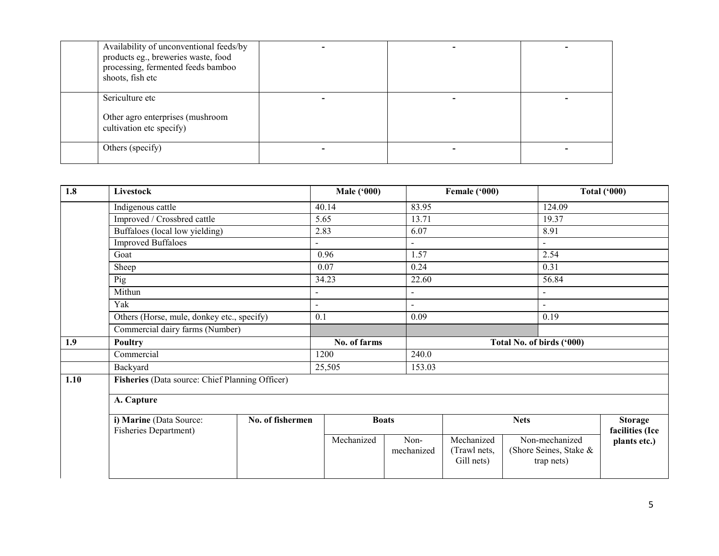| Availability of unconventional feeds/by<br>products eg., breweries waste, food<br>processing, fermented feeds bamboo<br>shoots, fish etc |  |  |
|------------------------------------------------------------------------------------------------------------------------------------------|--|--|
| Sericulture etc<br>Other agro enterprises (mushroom<br>cultivation etc specify)                                                          |  |  |
| Others (specify)                                                                                                                         |  |  |

| 1.8  | Livestock                                                                   |  | <b>Male ('000)</b> |                    | Female ('000)                            |                              |                        | <b>Total ('000)</b>               |
|------|-----------------------------------------------------------------------------|--|--------------------|--------------------|------------------------------------------|------------------------------|------------------------|-----------------------------------|
|      | Indigenous cattle                                                           |  | 40.14              | 83.95              |                                          |                              | 124.09                 |                                   |
|      | Improved / Crossbred cattle                                                 |  | 5.65               | 13.71              |                                          |                              | 19.37                  |                                   |
|      | Buffaloes (local low yielding)                                              |  | 6.07<br>2.83       |                    |                                          | 8.91                         |                        |                                   |
|      | <b>Improved Buffaloes</b>                                                   |  |                    | $\blacksquare$     |                                          | ÷.                           |                        |                                   |
|      | Goat                                                                        |  | 0.96               | 1.57               |                                          | 2.54                         |                        |                                   |
|      | Sheep                                                                       |  | 0.07               | 0.24               |                                          | 0.31                         |                        |                                   |
|      | Pig                                                                         |  | 34.23              | 22.60              |                                          |                              | 56.84                  |                                   |
|      | Mithun                                                                      |  | $\sim$             | $\mathbf{r}$       |                                          | L.                           |                        |                                   |
|      | Yak                                                                         |  | $\sim$             |                    |                                          |                              |                        |                                   |
|      | Others (Horse, mule, donkey etc., specify)                                  |  | 0.1                |                    | 0.09                                     |                              | 0.19                   |                                   |
|      | Commercial dairy farms (Number)                                             |  |                    |                    |                                          |                              |                        |                                   |
| 1.9  | <b>Poultry</b>                                                              |  | No. of farms       |                    |                                          | Total No. of birds ('000)    |                        |                                   |
|      | Commercial                                                                  |  | 1200               | 240.0              |                                          |                              |                        |                                   |
|      | Backyard                                                                    |  | 25,505             | 153.03             |                                          |                              |                        |                                   |
| 1.10 | Fisheries (Data source: Chief Planning Officer)                             |  |                    |                    |                                          |                              |                        |                                   |
|      | A. Capture                                                                  |  |                    |                    |                                          |                              |                        |                                   |
|      | i) Marine (Data Source:<br>No. of fishermen<br><b>Fisheries Department)</b> |  |                    | <b>Boats</b>       |                                          | <b>Nets</b>                  |                        | <b>Storage</b><br>facilities (Ice |
|      |                                                                             |  | Mechanized         | Non-<br>mechanized | Mechanized<br>(Trawl nets,<br>Gill nets) | Non-mechanized<br>trap nets) | (Shore Seines, Stake & | plants etc.)                      |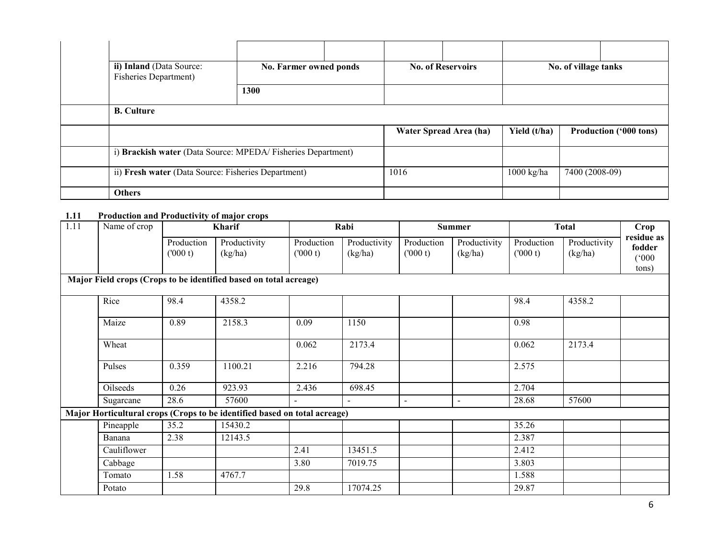| ii) Inland (Data Source:<br><b>Fisheries Department</b> )    | No. Farmer owned ponds<br>1300 |      | <b>No. of Reservoirs</b> |              | No. of village tanks          |
|--------------------------------------------------------------|--------------------------------|------|--------------------------|--------------|-------------------------------|
| <b>B.</b> Culture                                            |                                |      |                          |              |                               |
|                                                              |                                |      | Water Spread Area (ha)   | Yield (t/ha) | <b>Production ('000 tons)</b> |
| i) Brackish water (Data Source: MPEDA/ Fisheries Department) |                                |      |                          |              |                               |
| ii) Fresh water (Data Source: Fisheries Department)          |                                | 1016 |                          | $1000$ kg/ha | 7400 (2008-09)                |
| <b>Others</b>                                                |                                |      |                          |              |                               |

# 1.11 Production and Productivity of major crops

| 1.11 | Name of crop |                       | Kharif                                                                    |                       | Rabi                    |                       | <b>Summer</b>           |                       | <b>Total</b>            | Crop                                   |
|------|--------------|-----------------------|---------------------------------------------------------------------------|-----------------------|-------------------------|-----------------------|-------------------------|-----------------------|-------------------------|----------------------------------------|
|      |              | Production<br>(000 t) | Productivity<br>(kg/ha)                                                   | Production<br>(000 t) | Productivity<br>(kg/ha) | Production<br>(000 t) | Productivity<br>(kg/ha) | Production<br>(000 t) | Productivity<br>(kg/ha) | residue as<br>fodder<br>(000)<br>tons) |
|      |              |                       | Major Field crops (Crops to be identified based on total acreage)         |                       |                         |                       |                         |                       |                         |                                        |
|      | Rice         | 98.4                  | 4358.2                                                                    |                       |                         |                       |                         | 98.4                  | 4358.2                  |                                        |
|      | Maize        | 0.89                  | 2158.3                                                                    | 0.09                  | 1150                    |                       |                         | 0.98                  |                         |                                        |
|      | Wheat        |                       |                                                                           | 0.062                 | 2173.4                  |                       |                         | 0.062                 | 2173.4                  |                                        |
|      | Pulses       | 0.359                 | 1100.21                                                                   | 2.216                 | 794.28                  |                       |                         | 2.575                 |                         |                                        |
|      | Oilseeds     | 0.26                  | 923.93                                                                    | 2.436                 | 698.45                  |                       |                         | 2.704                 |                         |                                        |
|      | Sugarcane    | 28.6                  | 57600                                                                     |                       |                         | $\blacksquare$        | $\blacksquare$          | 28.68                 | 57600                   |                                        |
|      |              |                       | Major Horticultural crops (Crops to be identified based on total acreage) |                       |                         |                       |                         |                       |                         |                                        |
|      | Pineapple    | 35.2                  | 15430.2                                                                   |                       |                         |                       |                         | 35.26                 |                         |                                        |
|      | Banana       | 2.38                  | 12143.5                                                                   |                       |                         |                       |                         | 2.387                 |                         |                                        |
|      | Cauliflower  |                       |                                                                           | 2.41                  | 13451.5                 |                       |                         | 2.412                 |                         |                                        |
|      | Cabbage      |                       |                                                                           | 3.80                  | 7019.75                 |                       |                         | 3.803                 |                         |                                        |
|      | Tomato       | 1.58                  | 4767.7                                                                    |                       |                         |                       |                         | 1.588                 |                         |                                        |
|      | Potato       |                       |                                                                           | 29.8                  | 17074.25                |                       |                         | 29.87                 |                         |                                        |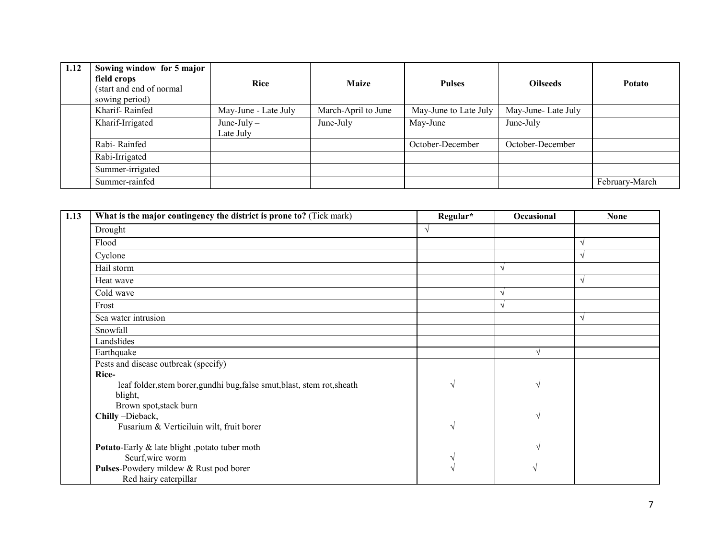| 1.12 | Sowing window for 5 major<br>field crops<br>(start and end of normal<br>sowing period) | <b>Rice</b>                | <b>Maize</b>        | <b>Pulses</b>         | <b>Oilseeds</b>    | Potato         |
|------|----------------------------------------------------------------------------------------|----------------------------|---------------------|-----------------------|--------------------|----------------|
|      | Kharif-Rainfed                                                                         | May-June - Late July       | March-April to June | May-June to Late July | May-June-Late July |                |
|      | Kharif-Irrigated                                                                       | June-July $-$<br>Late July | June-July           | May-June              | June-July          |                |
|      | Rabi-Rainfed                                                                           |                            |                     | October-December      | October-December   |                |
|      | Rabi-Irrigated                                                                         |                            |                     |                       |                    |                |
|      | Summer-irrigated                                                                       |                            |                     |                       |                    |                |
|      | Summer-rainfed                                                                         |                            |                     |                       |                    | February-March |

| 1.13 | What is the major contingency the district is prone to? (Tick mark)      | Regular*      | Occasional    | <b>None</b> |
|------|--------------------------------------------------------------------------|---------------|---------------|-------------|
|      | Drought                                                                  | V             |               |             |
|      | Flood                                                                    |               |               |             |
|      | Cyclone                                                                  |               |               |             |
|      | Hail storm                                                               |               | $\sqrt{}$     |             |
|      | Heat wave                                                                |               |               |             |
|      | Cold wave                                                                |               | N             |             |
|      | Frost                                                                    |               | V             |             |
|      | Sea water intrusion                                                      |               |               |             |
|      | Snowfall                                                                 |               |               |             |
|      | Landslides                                                               |               |               |             |
|      | Earthquake                                                               |               |               |             |
|      | Pests and disease outbreak (specify)                                     |               |               |             |
|      | Rice-                                                                    |               |               |             |
|      | leaf folder, stem borer, gundhi bug, false smut, blast, stem rot, sheath | $\mathcal{L}$ | V             |             |
|      | blight,                                                                  |               |               |             |
|      | Brown spot, stack burn                                                   |               |               |             |
|      | Chilly-Dieback,                                                          |               | $\mathcal{L}$ |             |
|      | Fusarium & Verticiluin wilt, fruit borer                                 |               |               |             |
|      | Potato-Early & late blight ,potato tuber moth                            |               |               |             |
|      | Scurf, wire worm                                                         |               |               |             |
|      | Pulses-Powdery mildew & Rust pod borer                                   |               |               |             |
|      | Red hairy caterpillar                                                    |               |               |             |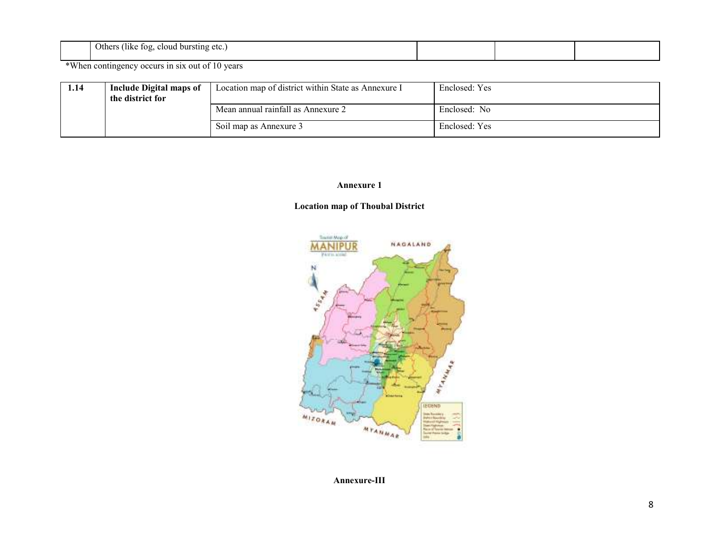| .<br>Others<br>(like<br>bursting<br>109<br>-cloud<br>etc.<br>. . |  |  |  |  |
|------------------------------------------------------------------|--|--|--|--|
|------------------------------------------------------------------|--|--|--|--|

\*When contingency occurs in six out of 10 years

| 1.14 | Include Digital maps of<br>the district for | Location map of district within State as Annexure I | Enclosed: Yes |
|------|---------------------------------------------|-----------------------------------------------------|---------------|
|      |                                             | Mean annual rainfall as Annexure 2                  | Enclosed: No  |
|      |                                             | Soil map as Annexure 3                              | Enclosed: Yes |

#### Annexure 1

### Location map of Thoubal District



Annexure-III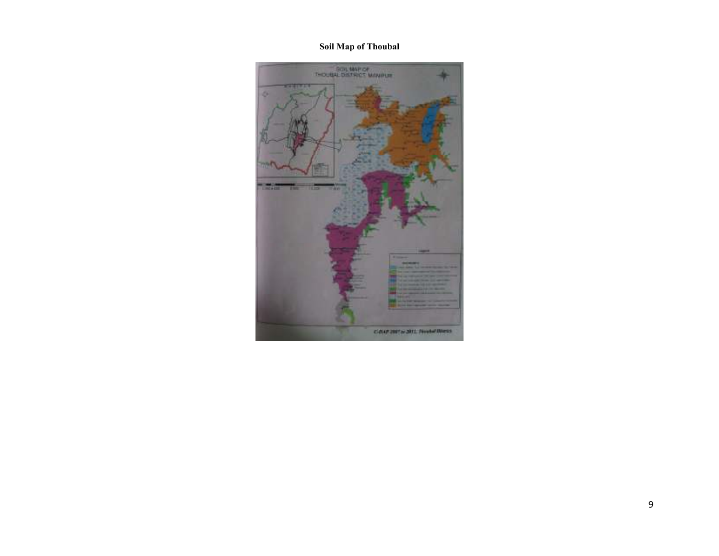### Soil Map of Thoubal

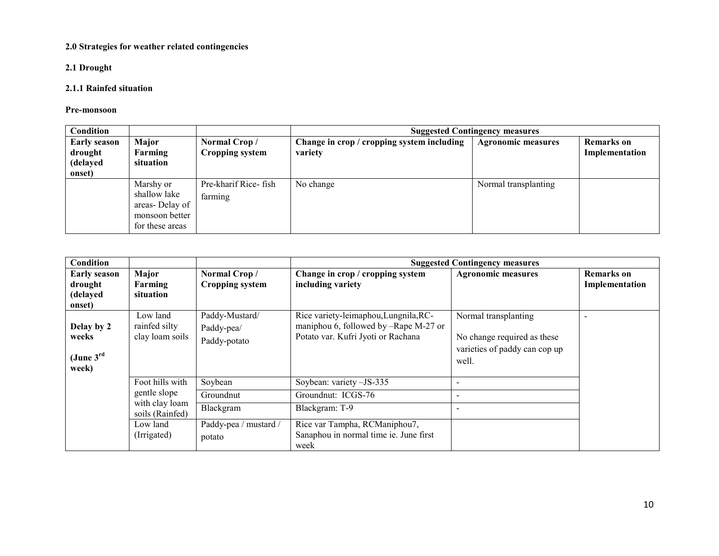#### 2.0 Strategies for weather related contingencies

### 2.1 Drought

### 2.1.1 Rainfed situation

#### Pre-monsoon

| Condition                                            |                                                                                  |                                  | <b>Suggested Contingency measures</b>                 |                           |                                     |  |  |
|------------------------------------------------------|----------------------------------------------------------------------------------|----------------------------------|-------------------------------------------------------|---------------------------|-------------------------------------|--|--|
| <b>Early season</b><br>drought<br>(delayed<br>onset) | Major<br>Farming<br>situation                                                    | Normal Crop/<br>Cropping system  | Change in crop / cropping system including<br>variety | <b>Agronomic measures</b> | <b>Remarks</b> on<br>Implementation |  |  |
|                                                      | Marshy or<br>shallow lake<br>areas-Delay of<br>monsoon better<br>for these areas | Pre-kharif Rice- fish<br>farming | No change                                             | Normal transplanting      |                                     |  |  |

| Condition                                             |                                              |                                              |                                                                                                                      | <b>Suggested Contingency measures</b>                                                         |                                     |
|-------------------------------------------------------|----------------------------------------------|----------------------------------------------|----------------------------------------------------------------------------------------------------------------------|-----------------------------------------------------------------------------------------------|-------------------------------------|
| <b>Early season</b><br>drought<br>(delayed<br>onset)  | Major<br>Farming<br>situation                | Normal Crop/<br><b>Cropping system</b>       | Change in crop / cropping system<br>including variety                                                                | <b>Agronomic measures</b>                                                                     | <b>Remarks</b> on<br>Implementation |
| Delay by 2<br>weeks<br>(June $3^{\text{rd}}$<br>week) | Low land<br>rainfed silty<br>clay loam soils | Paddy-Mustard/<br>Paddy-pea/<br>Paddy-potato | Rice variety-leimaphou, Lungnila, RC-<br>maniphou 6, followed by -Rape M-27 or<br>Potato var. Kufri Jyoti or Rachana | Normal transplanting<br>No change required as these<br>varieties of paddy can cop up<br>well. | $\overline{\phantom{0}}$            |
|                                                       | Foot hills with                              | Soybean                                      | Soybean: variety -JS-335                                                                                             |                                                                                               |                                     |
|                                                       | gentle slope                                 | Groundnut                                    | Groundnut: ICGS-76                                                                                                   |                                                                                               |                                     |
|                                                       | with clay loam<br>soils (Rainfed)            | Blackgram                                    | Blackgram: T-9                                                                                                       |                                                                                               |                                     |
|                                                       | Low land<br>(Irrigated)                      | Paddy-pea / mustard /<br>potato              | Rice var Tampha, RCManiphou7,<br>Sanaphou in normal time ie. June first<br>week                                      |                                                                                               |                                     |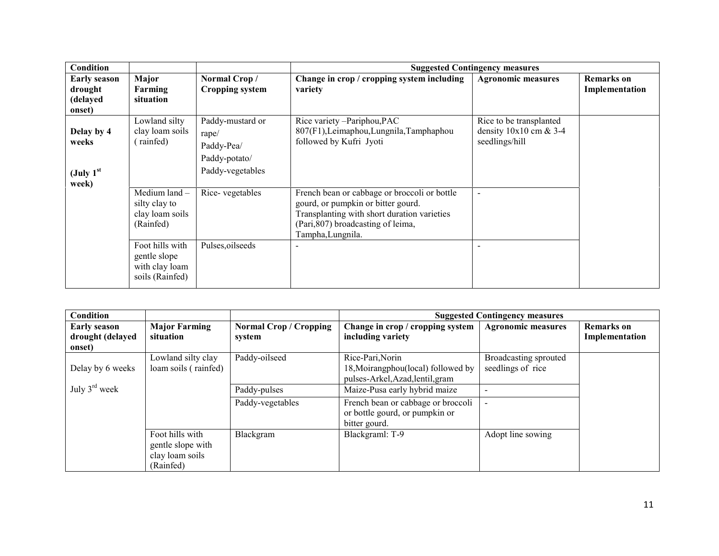| <b>Condition</b>                                        |                                                                      |                                                                              |                                                                                                                                                                                              | <b>Suggested Contingency measures</b>                                 |                                     |
|---------------------------------------------------------|----------------------------------------------------------------------|------------------------------------------------------------------------------|----------------------------------------------------------------------------------------------------------------------------------------------------------------------------------------------|-----------------------------------------------------------------------|-------------------------------------|
| <b>Early season</b><br>drought<br>(delayed<br>onset)    | Major<br>Farming<br>situation                                        | Normal Crop/<br><b>Cropping system</b>                                       | Change in crop / cropping system including<br>variety                                                                                                                                        | <b>Agronomic measures</b>                                             | <b>Remarks</b> on<br>Implementation |
| Delay by 4<br>weeks<br>(July 1 <sup>st</sup> )<br>week) | Lowland silty<br>clay loam soils<br>rainfed)                         | Paddy-mustard or<br>rape/<br>Paddy-Pea/<br>Paddy-potato/<br>Paddy-vegetables | Rice variety -Pariphou, PAC<br>807(F1), Leimaphou, Lungnila, Tamphaphou<br>followed by Kufri Jyoti                                                                                           | Rice to be transplanted<br>density $10x10$ cm & 3-4<br>seedlings/hill |                                     |
|                                                         | Medium land $-$<br>silty clay to<br>clay loam soils<br>(Rainfed)     | Rice-vegetables                                                              | French bean or cabbage or broccoli or bottle<br>gourd, or pumpkin or bitter gourd.<br>Transplanting with short duration varieties<br>(Pari, 807) broadcasting of leima,<br>Tampha, Lungnila. |                                                                       |                                     |
|                                                         | Foot hills with<br>gentle slope<br>with clay loam<br>soils (Rainfed) | Pulses, oilseeds                                                             |                                                                                                                                                                                              |                                                                       |                                     |

| Condition                  |                                                                      |                               |                                                                                       | <b>Suggested Contingency measures</b>      |                   |
|----------------------------|----------------------------------------------------------------------|-------------------------------|---------------------------------------------------------------------------------------|--------------------------------------------|-------------------|
| <b>Early season</b>        | <b>Major Farming</b><br>situation                                    | <b>Normal Crop / Cropping</b> | Change in crop / cropping system                                                      | <b>Agronomic measures</b>                  | <b>Remarks</b> on |
| drought (delayed<br>onset) |                                                                      | system                        | including variety                                                                     |                                            | Implementation    |
| Delay by 6 weeks           | Lowland silty clay<br>loam soils (rainfed)                           | Paddy-oilseed                 | Rice-Pari, Norin<br>18, Moirangphou(local) followed by                                | Broadcasting sprouted<br>seedlings of rice |                   |
| July $3^{\text{rd}}$ week  |                                                                      | Paddy-pulses                  | pulses-Arkel, Azad, lentil, gram<br>Maize-Pusa early hybrid maize                     |                                            |                   |
|                            |                                                                      | Paddy-vegetables              | French bean or cabbage or broccoli<br>or bottle gourd, or pumpkin or<br>bitter gourd. |                                            |                   |
|                            | Foot hills with<br>gentle slope with<br>clay loam soils<br>(Rainfed) | Blackgram                     | Blackgraml: T-9                                                                       | Adopt line sowing                          |                   |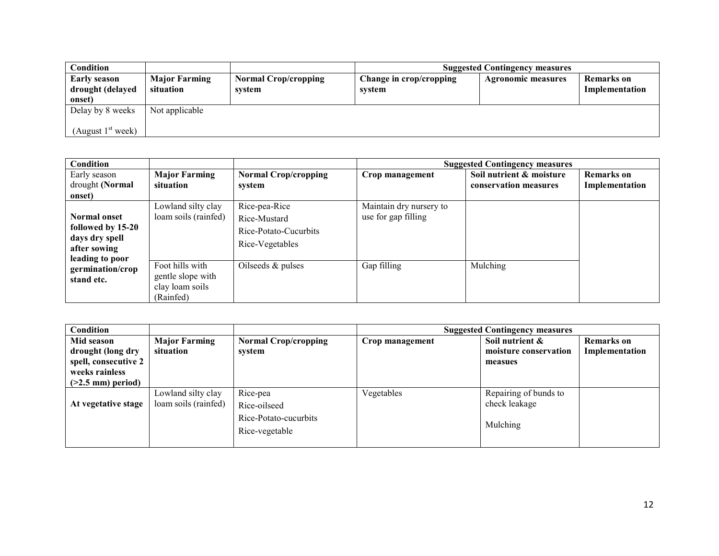| Condition                                         |                                   |                                       |                                   | <b>Suggested Contingency measures</b> |                              |
|---------------------------------------------------|-----------------------------------|---------------------------------------|-----------------------------------|---------------------------------------|------------------------------|
| <b>Early season</b><br>drought (delayed<br>onset) | <b>Major Farming</b><br>situation | <b>Normal Crop/cropping</b><br>system | Change in crop/cropping<br>system | <b>Agronomic measures</b>             | Remarks on<br>Implementation |
| Delay by 8 weeks                                  | Not applicable                    |                                       |                                   |                                       |                              |
| (August $1st$ week)                               |                                   |                                       |                                   |                                       |                              |

| <b>Condition</b>                    |                      |                             |                         | <b>Suggested Contingency measures</b> |                   |
|-------------------------------------|----------------------|-----------------------------|-------------------------|---------------------------------------|-------------------|
| Early season                        | <b>Major Farming</b> | <b>Normal Crop/cropping</b> | Crop management         | Soil nutrient & moisture              | <b>Remarks</b> on |
| drought (Normal                     | situation            | system                      |                         | conservation measures                 | Implementation    |
| onset)                              |                      |                             |                         |                                       |                   |
|                                     | Lowland silty clay   | Rice-pea-Rice               | Maintain dry nursery to |                                       |                   |
| <b>Normal onset</b>                 | loam soils (rainfed) | Rice-Mustard                | use for gap filling     |                                       |                   |
| followed by 15-20                   |                      | Rice-Potato-Cucurbits       |                         |                                       |                   |
| days dry spell                      |                      | Rice-Vegetables             |                         |                                       |                   |
| after sowing                        |                      |                             |                         |                                       |                   |
| leading to poor<br>germination/crop | Foot hills with      | Oilseeds $&$ pulses         | Gap filling             | Mulching                              |                   |
| stand etc.                          | gentle slope with    |                             |                         |                                       |                   |
|                                     | clay loam soils      |                             |                         |                                       |                   |
|                                     | (Rainfed)            |                             |                         |                                       |                   |

| Condition            |                      |                             |                 | <b>Suggested Contingency measures</b> |                   |
|----------------------|----------------------|-----------------------------|-----------------|---------------------------------------|-------------------|
| Mid season           | <b>Major Farming</b> | <b>Normal Crop/cropping</b> | Crop management | Soil nutrient &                       | <b>Remarks</b> on |
| drought (long dry    | situation            | system                      |                 | moisture conservation                 | Implementation    |
| spell, consecutive 2 |                      |                             |                 | measues                               |                   |
| weeks rainless       |                      |                             |                 |                                       |                   |
| $(>2.5$ mm) period)  |                      |                             |                 |                                       |                   |
|                      | Lowland silty clay   | Rice-pea                    | Vegetables      | Repairing of bunds to                 |                   |
| At vegetative stage  | loam soils (rainfed) | Rice-oilseed                |                 | check leakage                         |                   |
|                      |                      | Rice-Potato-cucurbits       |                 |                                       |                   |
|                      |                      |                             |                 | Mulching                              |                   |
|                      |                      | Rice-vegetable              |                 |                                       |                   |
|                      |                      |                             |                 |                                       |                   |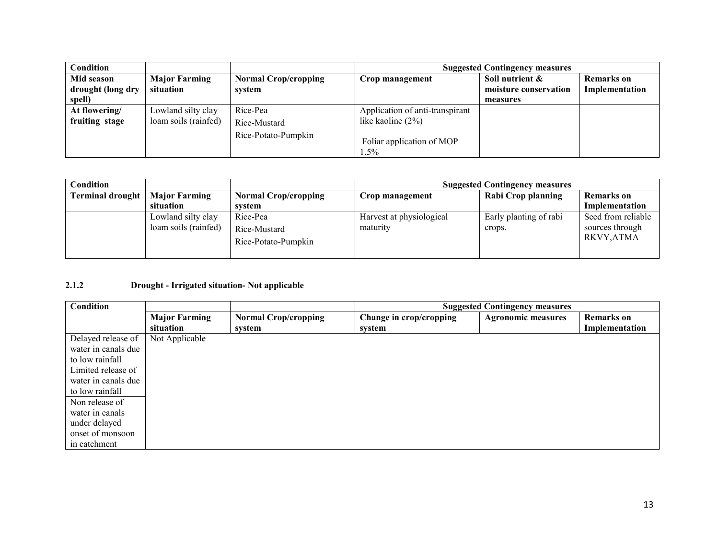| <b>Condition</b>  |                      |                             | <b>Suggested Contingency measures</b> |                       |                |
|-------------------|----------------------|-----------------------------|---------------------------------------|-----------------------|----------------|
| Mid season        | <b>Major Farming</b> | <b>Normal Crop/cropping</b> | Crop management                       | Soil nutrient &       | Remarks on     |
| drought (long dry | situation            | system                      |                                       | moisture conservation | Implementation |
| spell)            |                      |                             |                                       | measures              |                |
| At flowering/     | Lowland silty clay   | Rice-Pea                    | Application of anti-transpirant       |                       |                |
| fruiting stage    | loam soils (rainfed) | Rice-Mustard                | like kaoline $(2\%)$                  |                       |                |
|                   |                      | Rice-Potato-Pumpkin         |                                       |                       |                |
|                   |                      |                             | Foliar application of MOP             |                       |                |
|                   |                      |                             | 1.5%                                  |                       |                |

| Condition        |                                            |                                                 | <b>Suggested Contingency measures</b> |                                  |                                                    |
|------------------|--------------------------------------------|-------------------------------------------------|---------------------------------------|----------------------------------|----------------------------------------------------|
| Terminal drought | <b>Major Farming</b>                       | <b>Normal Crop/cropping</b>                     | Crop management                       | Rabi Crop planning               | <b>Remarks</b> on                                  |
|                  | situation                                  | system                                          |                                       |                                  | Implementation                                     |
|                  | Lowland silty clay<br>loam soils (rainfed) | Rice-Pea<br>Rice-Mustard<br>Rice-Potato-Pumpkin | Harvest at physiological<br>maturity  | Early planting of rabi<br>crops. | Seed from reliable<br>sources through<br>RKVY,ATMA |

#### 2.1.2 Drought - Irrigated situation- Not applicable

| Condition           |                      |                             | <b>Suggested Contingency measures</b> |                           |                   |
|---------------------|----------------------|-----------------------------|---------------------------------------|---------------------------|-------------------|
|                     | <b>Major Farming</b> | <b>Normal Crop/cropping</b> | Change in crop/cropping               | <b>Agronomic measures</b> | <b>Remarks</b> on |
|                     | situation            | system                      | system                                |                           | Implementation    |
| Delayed release of  | Not Applicable       |                             |                                       |                           |                   |
| water in canals due |                      |                             |                                       |                           |                   |
| to low rainfall     |                      |                             |                                       |                           |                   |
| Limited release of  |                      |                             |                                       |                           |                   |
| water in canals due |                      |                             |                                       |                           |                   |
| to low rainfall     |                      |                             |                                       |                           |                   |
| Non release of      |                      |                             |                                       |                           |                   |
| water in canals     |                      |                             |                                       |                           |                   |
| under delayed       |                      |                             |                                       |                           |                   |
| onset of monsoon    |                      |                             |                                       |                           |                   |
| in catchment        |                      |                             |                                       |                           |                   |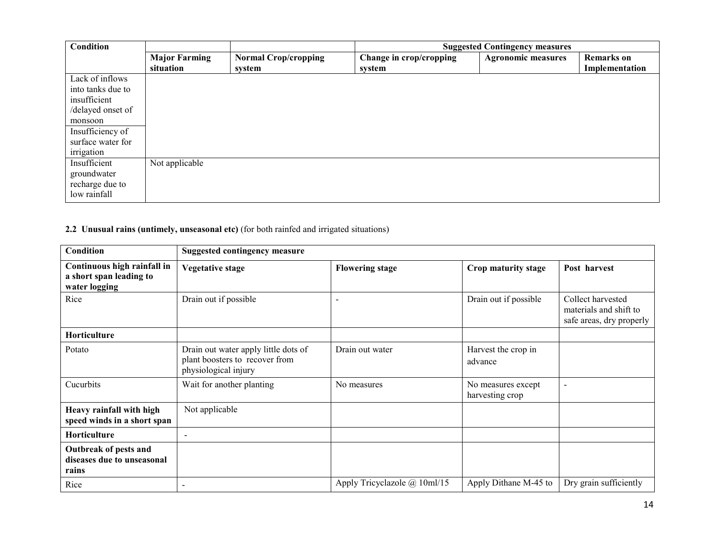| Condition         |                      |                             | <b>Suggested Contingency measures</b> |                           |                   |
|-------------------|----------------------|-----------------------------|---------------------------------------|---------------------------|-------------------|
|                   | <b>Major Farming</b> | <b>Normal Crop/cropping</b> | Change in crop/cropping               | <b>Agronomic measures</b> | <b>Remarks</b> on |
|                   | situation            | system                      | system                                |                           | Implementation    |
| Lack of inflows   |                      |                             |                                       |                           |                   |
| into tanks due to |                      |                             |                                       |                           |                   |
| insufficient      |                      |                             |                                       |                           |                   |
| /delayed onset of |                      |                             |                                       |                           |                   |
| monsoon           |                      |                             |                                       |                           |                   |
| Insufficiency of  |                      |                             |                                       |                           |                   |
| surface water for |                      |                             |                                       |                           |                   |
| irrigation        |                      |                             |                                       |                           |                   |
| Insufficient      | Not applicable       |                             |                                       |                           |                   |
| groundwater       |                      |                             |                                       |                           |                   |
| recharge due to   |                      |                             |                                       |                           |                   |
| low rainfall      |                      |                             |                                       |                           |                   |

#### 2.2 Unusual rains (untimely, unseasonal etc) (for both rainfed and irrigated situations)

| <b>Condition</b>                                                        | <b>Suggested contingency measure</b>                                                           |                              |                                       |                                                                         |  |
|-------------------------------------------------------------------------|------------------------------------------------------------------------------------------------|------------------------------|---------------------------------------|-------------------------------------------------------------------------|--|
| Continuous high rainfall in<br>a short span leading to<br>water logging | <b>Vegetative stage</b>                                                                        | <b>Flowering stage</b>       | Crop maturity stage                   | Post harvest                                                            |  |
| Rice                                                                    | Drain out if possible                                                                          |                              | Drain out if possible                 | Collect harvested<br>materials and shift to<br>safe areas, dry properly |  |
| Horticulture                                                            |                                                                                                |                              |                                       |                                                                         |  |
| Potato                                                                  | Drain out water apply little dots of<br>plant boosters to recover from<br>physiological injury | Drain out water              | Harvest the crop in<br>advance        |                                                                         |  |
| Cucurbits                                                               | Wait for another planting                                                                      | No measures                  | No measures except<br>harvesting crop | $\overline{\phantom{a}}$                                                |  |
| Heavy rainfall with high<br>speed winds in a short span                 | Not applicable                                                                                 |                              |                                       |                                                                         |  |
| Horticulture                                                            | $\overline{\phantom{0}}$                                                                       |                              |                                       |                                                                         |  |
| Outbreak of pests and<br>diseases due to unseasonal<br>rains            |                                                                                                |                              |                                       |                                                                         |  |
| Rice                                                                    |                                                                                                | Apply Tricyclazole @ 10ml/15 | Apply Dithane M-45 to                 | Dry grain sufficiently                                                  |  |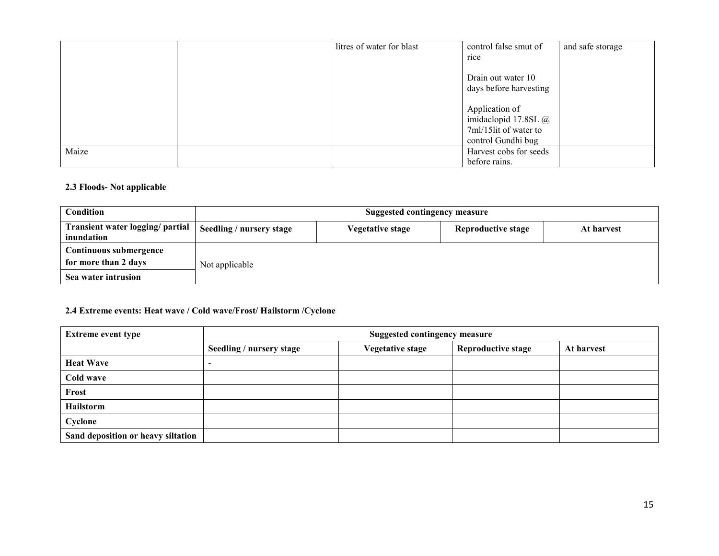|       | litres of water for blast | control false smut of                        | and safe storage |
|-------|---------------------------|----------------------------------------------|------------------|
|       |                           | rice                                         |                  |
|       |                           | Drain out water 10<br>days before harvesting |                  |
|       |                           | Application of                               |                  |
|       |                           | imidaclopid 17.8SL $\omega$                  |                  |
|       |                           | 7ml/15lit of water to                        |                  |
|       |                           | control Gundhi bug                           |                  |
| Maize |                           | Harvest cobs for seeds                       |                  |
|       |                           | before rains.                                |                  |

### 2.3 Floods- Not applicable

| <b>Condition</b>                               | <b>Suggested contingency measure</b> |                  |                    |            |  |  |
|------------------------------------------------|--------------------------------------|------------------|--------------------|------------|--|--|
| Transient water logging/ partial<br>inundation | Seedling / nursery stage             | Vegetative stage | Reproductive stage | At harvest |  |  |
| Continuous submergence                         |                                      |                  |                    |            |  |  |
| for more than 2 days                           | Not applicable                       |                  |                    |            |  |  |
| Sea water intrusion                            |                                      |                  |                    |            |  |  |

# 2.4 Extreme events: Heat wave / Cold wave/Frost/ Hailstorm /Cyclone

| <b>Extreme event type</b>          | <b>Suggested contingency measure</b> |                         |                           |            |  |
|------------------------------------|--------------------------------------|-------------------------|---------------------------|------------|--|
|                                    | Seedling / nursery stage             | <b>Vegetative stage</b> | <b>Reproductive stage</b> | At harvest |  |
| <b>Heat Wave</b>                   | ۰                                    |                         |                           |            |  |
| Cold wave                          |                                      |                         |                           |            |  |
| Frost                              |                                      |                         |                           |            |  |
| Hailstorm                          |                                      |                         |                           |            |  |
| Cyclone                            |                                      |                         |                           |            |  |
| Sand deposition or heavy siltation |                                      |                         |                           |            |  |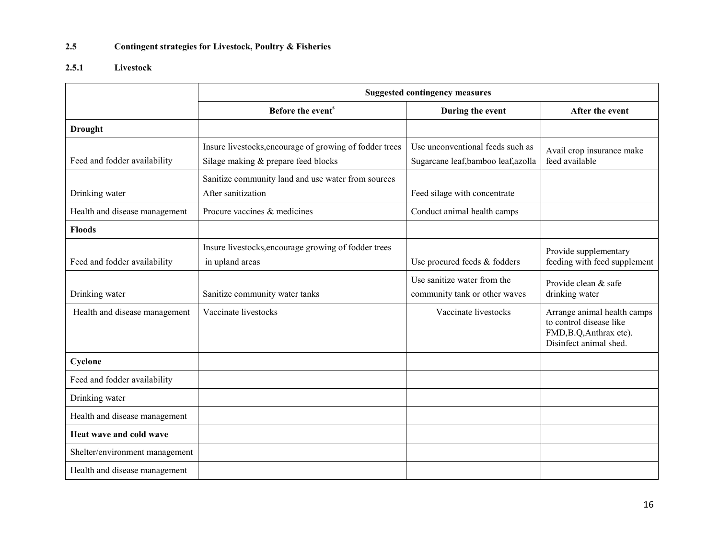#### 2.5Contingent strategies for Livestock, Poultry & Fisheries

# 2.5.1 Livestock

|                                | <b>Suggested contingency measures</b>                                                          |                                                                         |                                                                                                             |  |
|--------------------------------|------------------------------------------------------------------------------------------------|-------------------------------------------------------------------------|-------------------------------------------------------------------------------------------------------------|--|
|                                | Before the event <sup>s</sup>                                                                  | During the event                                                        | After the event                                                                                             |  |
| <b>Drought</b>                 |                                                                                                |                                                                         |                                                                                                             |  |
| Feed and fodder availability   | Insure livestocks, encourage of growing of fodder trees<br>Silage making & prepare feed blocks | Use unconventional feeds such as<br>Sugarcane leaf, bamboo leaf, azolla | Avail crop insurance make<br>feed available                                                                 |  |
| Drinking water                 | Sanitize community land and use water from sources<br>After sanitization                       | Feed silage with concentrate                                            |                                                                                                             |  |
| Health and disease management  | Procure vaccines & medicines                                                                   | Conduct animal health camps                                             |                                                                                                             |  |
| <b>Floods</b>                  |                                                                                                |                                                                         |                                                                                                             |  |
| Feed and fodder availability   | Insure livestocks, encourage growing of fodder trees<br>in upland areas                        | Use procured feeds & fodders                                            | Provide supplementary<br>feeding with feed supplement                                                       |  |
| Drinking water                 | Sanitize community water tanks                                                                 | Use sanitize water from the<br>community tank or other waves            | Provide clean & safe<br>drinking water                                                                      |  |
| Health and disease management  | Vaccinate livestocks                                                                           | Vaccinate livestocks                                                    | Arrange animal health camps<br>to control disease like<br>FMD, B.Q, Anthrax etc).<br>Disinfect animal shed. |  |
| Cyclone                        |                                                                                                |                                                                         |                                                                                                             |  |
| Feed and fodder availability   |                                                                                                |                                                                         |                                                                                                             |  |
| Drinking water                 |                                                                                                |                                                                         |                                                                                                             |  |
| Health and disease management  |                                                                                                |                                                                         |                                                                                                             |  |
| Heat wave and cold wave        |                                                                                                |                                                                         |                                                                                                             |  |
| Shelter/environment management |                                                                                                |                                                                         |                                                                                                             |  |
| Health and disease management  |                                                                                                |                                                                         |                                                                                                             |  |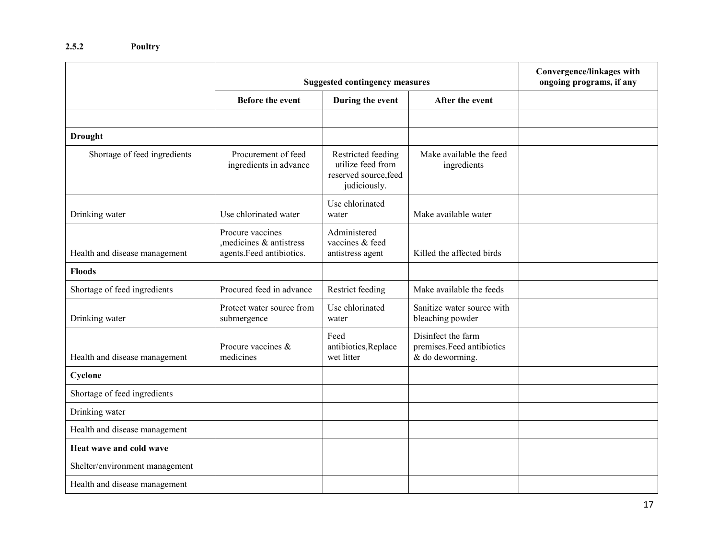|                                | <b>Suggested contingency measures</b>                                   | Convergence/linkages with<br>ongoing programs, if any                            |                                                                    |  |
|--------------------------------|-------------------------------------------------------------------------|----------------------------------------------------------------------------------|--------------------------------------------------------------------|--|
|                                | <b>Before the event</b>                                                 | During the event                                                                 | After the event                                                    |  |
|                                |                                                                         |                                                                                  |                                                                    |  |
| <b>Drought</b>                 |                                                                         |                                                                                  |                                                                    |  |
| Shortage of feed ingredients   | Procurement of feed<br>ingredients in advance                           | Restricted feeding<br>utilize feed from<br>reserved source, feed<br>judiciously. | Make available the feed<br>ingredients                             |  |
| Drinking water                 | Use chlorinated water                                                   | Use chlorinated<br>water                                                         | Make available water                                               |  |
| Health and disease management  | Procure vaccines<br>medicines & antistress<br>agents. Feed antibiotics. | Administered<br>vaccines & feed<br>antistress agent                              | Killed the affected birds                                          |  |
| <b>Floods</b>                  |                                                                         |                                                                                  |                                                                    |  |
| Shortage of feed ingredients   | Procured feed in advance                                                | Restrict feeding                                                                 | Make available the feeds                                           |  |
| Drinking water                 | Protect water source from<br>submergence                                | Use chlorinated<br>water                                                         | Sanitize water source with<br>bleaching powder                     |  |
| Health and disease management  | Procure vaccines &<br>medicines                                         | Feed<br>antibiotics, Replace<br>wet litter                                       | Disinfect the farm<br>premises.Feed antibiotics<br>& do deworming. |  |
| Cyclone                        |                                                                         |                                                                                  |                                                                    |  |
| Shortage of feed ingredients   |                                                                         |                                                                                  |                                                                    |  |
| Drinking water                 |                                                                         |                                                                                  |                                                                    |  |
| Health and disease management  |                                                                         |                                                                                  |                                                                    |  |
| Heat wave and cold wave        |                                                                         |                                                                                  |                                                                    |  |
| Shelter/environment management |                                                                         |                                                                                  |                                                                    |  |
| Health and disease management  |                                                                         |                                                                                  |                                                                    |  |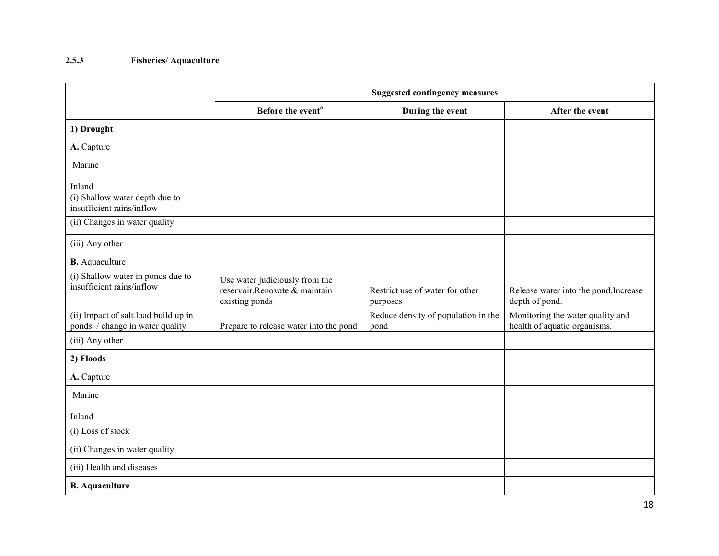# 2.5.3 Fisheries/ Aquaculture

|                                                                         | <b>Suggested contingency measures</b>                                             |                                             |                                                                  |  |  |
|-------------------------------------------------------------------------|-----------------------------------------------------------------------------------|---------------------------------------------|------------------------------------------------------------------|--|--|
|                                                                         | Before the event <sup>a</sup>                                                     | During the event                            | After the event                                                  |  |  |
| 1) Drought                                                              |                                                                                   |                                             |                                                                  |  |  |
| A. Capture                                                              |                                                                                   |                                             |                                                                  |  |  |
| Marine                                                                  |                                                                                   |                                             |                                                                  |  |  |
| Inland                                                                  |                                                                                   |                                             |                                                                  |  |  |
| (i) Shallow water depth due to<br>insufficient rains/inflow             |                                                                                   |                                             |                                                                  |  |  |
| (ii) Changes in water quality                                           |                                                                                   |                                             |                                                                  |  |  |
| (iii) Any other                                                         |                                                                                   |                                             |                                                                  |  |  |
| <b>B.</b> Aquaculture                                                   |                                                                                   |                                             |                                                                  |  |  |
| (i) Shallow water in ponds due to<br>insufficient rains/inflow          | Use water judiciously from the<br>reservoir.Renovate & maintain<br>existing ponds | Restrict use of water for other<br>purposes | Release water into the pond. Increase<br>depth of pond.          |  |  |
| (ii) Impact of salt load build up in<br>ponds / change in water quality | Prepare to release water into the pond                                            | Reduce density of population in the<br>pond | Monitoring the water quality and<br>health of aquatic organisms. |  |  |
| (iii) Any other                                                         |                                                                                   |                                             |                                                                  |  |  |
| 2) Floods                                                               |                                                                                   |                                             |                                                                  |  |  |
| A. Capture                                                              |                                                                                   |                                             |                                                                  |  |  |
| Marine                                                                  |                                                                                   |                                             |                                                                  |  |  |
| Inland                                                                  |                                                                                   |                                             |                                                                  |  |  |
| (i) Loss of stock                                                       |                                                                                   |                                             |                                                                  |  |  |
| (ii) Changes in water quality                                           |                                                                                   |                                             |                                                                  |  |  |
| (iii) Health and diseases                                               |                                                                                   |                                             |                                                                  |  |  |
| <b>B.</b> Aquaculture                                                   |                                                                                   |                                             |                                                                  |  |  |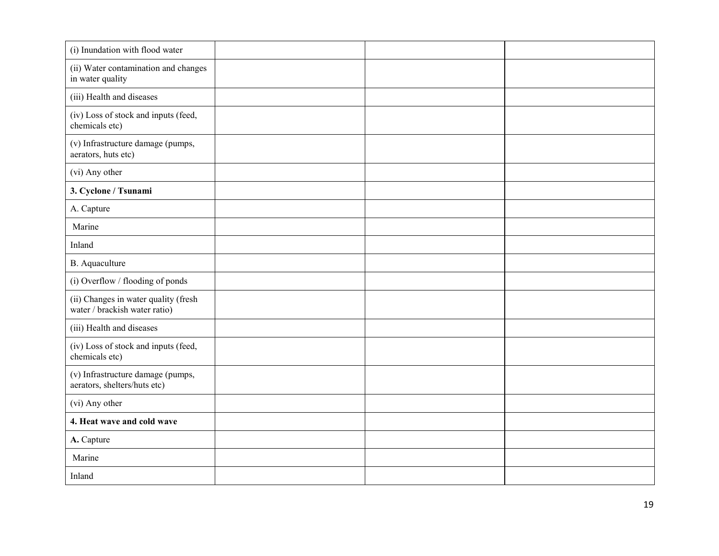| (i) Inundation with flood water                                       |  |  |
|-----------------------------------------------------------------------|--|--|
| (ii) Water contamination and changes<br>in water quality              |  |  |
| (iii) Health and diseases                                             |  |  |
| (iv) Loss of stock and inputs (feed,<br>chemicals etc)                |  |  |
| (v) Infrastructure damage (pumps,<br>aerators, huts etc)              |  |  |
| (vi) Any other                                                        |  |  |
| 3. Cyclone / Tsunami                                                  |  |  |
| A. Capture                                                            |  |  |
| Marine                                                                |  |  |
| Inland                                                                |  |  |
| <b>B.</b> Aquaculture                                                 |  |  |
| (i) Overflow / flooding of ponds                                      |  |  |
| (ii) Changes in water quality (fresh<br>water / brackish water ratio) |  |  |
| (iii) Health and diseases                                             |  |  |
| (iv) Loss of stock and inputs (feed,<br>chemicals etc)                |  |  |
| (v) Infrastructure damage (pumps,<br>aerators, shelters/huts etc)     |  |  |
| (vi) Any other                                                        |  |  |
| 4. Heat wave and cold wave                                            |  |  |
| A. Capture                                                            |  |  |
| Marine                                                                |  |  |
| Inland                                                                |  |  |